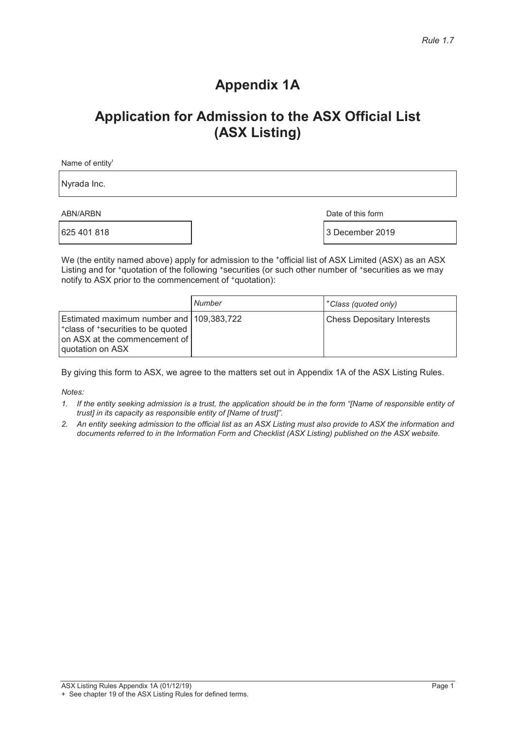### **Appendix 1A**

### **Application for Admission to the ASX Official List (ASX Listing)**

Name of entity $\mathbf{I}$ 

Nyrada Inc.

ABN/ARBN Date of this form

 $\frac{1}{3}$  December 2019

We (the entity named above) apply for admission to the \*official list of ASX Limited (ASX) as an ASX Listing and for <sup>+</sup>quotation of the following <sup>+</sup>securities (or such other number of <sup>+</sup>securities as we may notify to ASX prior to the commencement of  $*$ quotation):

|                                                                                                                                       | Number | <sup>+</sup> Class (quoted only)  |
|---------------------------------------------------------------------------------------------------------------------------------------|--------|-----------------------------------|
| Estimated maximum number and 109,383,722<br>*class of *securities to be quoted<br>on ASX at the commencement of I<br>quotation on ASX |        | <b>Chess Depositary Interests</b> |

By giving this form to ASX, we agree to the matters set out in Appendix 1A of the ASX Listing Rules.

*Notes:* 

- *1. If the entity seeking admission is a trust, the application should be in the form "[Name of responsible entity of trust] in its capacity as responsible entity of [Name of trust]".*
- *2. An entity seeking admission to the official list as an ASX Listing must also provide to ASX the information and documents referred to in the Information Form and Checklist (ASX Listing) published on the ASX website.*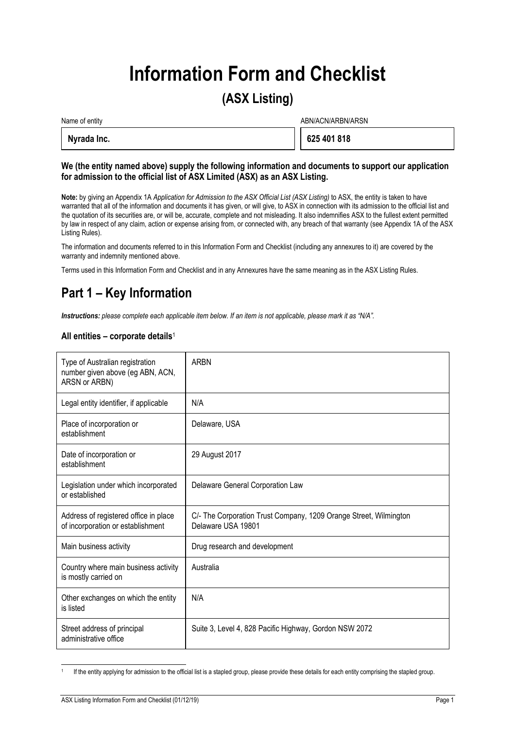# **Information Form and Checklist**

### **(ASX Listing)**

| Name of entity | ABN/ACN/ARBN/ARSN |  |
|----------------|-------------------|--|
| Nyrada Inc.    | 625 401 818       |  |

#### **We (the entity named above) supply the following information and documents to support our application for admission to the official list of ASX Limited (ASX) as an ASX Listing.**

**Note:** by giving an Appendix 1A *Application for Admission to the ASX Official List (ASX Listing)* to ASX, the entity is taken to have warranted that all of the information and documents it has given, or will give, to ASX in connection with its admission to the official list and the quotation of its securities are, or will be, accurate, complete and not misleading. It also indemnifies ASX to the fullest extent permitted by law in respect of any claim, action or expense arising from, or connected with, any breach of that warranty (see Appendix 1A of the ASX Listing Rules).

The information and documents referred to in this Information Form and Checklist (including any annexures to it) are covered by the warranty and indemnity mentioned above.

Terms used in this Information Form and Checklist and in any Annexures have the same meaning as in the ASX Listing Rules.

### **Part 1 – Key Information**

*Instructions: please complete each applicable item below. If an item is not applicable, please mark it as "N/A".* 

#### **All entities – corporate details**<sup>1</sup>

| Type of Australian registration<br>number given above (eg ABN, ACN,<br>ARSN or ARBN) | <b>ARBN</b>                                                                             |
|--------------------------------------------------------------------------------------|-----------------------------------------------------------------------------------------|
| Legal entity identifier, if applicable                                               | N/A                                                                                     |
| Place of incorporation or<br>establishment                                           | Delaware, USA                                                                           |
| Date of incorporation or<br>establishment                                            | 29 August 2017                                                                          |
| Legislation under which incorporated<br>or established                               | Delaware General Corporation Law                                                        |
| Address of registered office in place<br>of incorporation or establishment           | C/- The Corporation Trust Company, 1209 Orange Street, Wilmington<br>Delaware USA 19801 |
| Main business activity                                                               | Drug research and development                                                           |
| Country where main business activity<br>is mostly carried on                         | Australia                                                                               |
| Other exchanges on which the entity<br>is listed                                     | N/A                                                                                     |
| Street address of principal<br>administrative office                                 | Suite 3, Level 4, 828 Pacific Highway, Gordon NSW 2072                                  |

j If the entity applying for admission to the official list is a stapled group, please provide these details for each entity comprising the stapled group.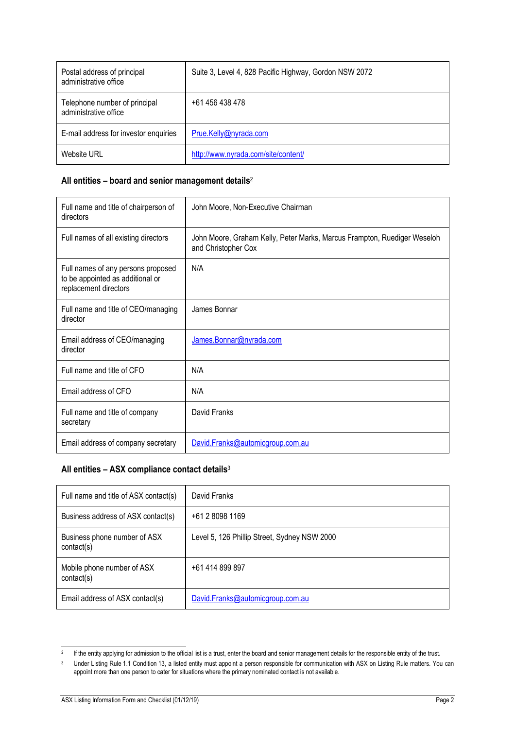| Postal address of principal<br>administrative office   | Suite 3, Level 4, 828 Pacific Highway, Gordon NSW 2072 |
|--------------------------------------------------------|--------------------------------------------------------|
| Telephone number of principal<br>administrative office | +61 456 438 478                                        |
| E-mail address for investor enquiries                  | Prue.Kelly@nyrada.com                                  |
| Website URL                                            | http://www.nyrada.com/site/content/                    |

#### **All entities – board and senior management details**<sup>2</sup>

| Full name and title of chairperson of<br>directors                                              | John Moore, Non-Executive Chairman                                                              |
|-------------------------------------------------------------------------------------------------|-------------------------------------------------------------------------------------------------|
| Full names of all existing directors                                                            | John Moore, Graham Kelly, Peter Marks, Marcus Frampton, Ruediger Weseloh<br>and Christopher Cox |
| Full names of any persons proposed<br>to be appointed as additional or<br>replacement directors | N/A                                                                                             |
| Full name and title of CEO/managing<br>director                                                 | James Bonnar                                                                                    |
| Email address of CEO/managing<br>director                                                       | James.Bonnar@nyrada.com                                                                         |
| Full name and title of CFO                                                                      | N/A                                                                                             |
| Email address of CFO                                                                            | N/A                                                                                             |
| Full name and title of company<br>secretary                                                     | David Franks                                                                                    |
| Email address of company secretary                                                              | David.Franks@automicgroup.com.au                                                                |

### **All entities – ASX compliance contact details**<sup>3</sup>

| Full name and title of ASX contact(s)      | David Franks                                 |
|--------------------------------------------|----------------------------------------------|
| Business address of ASX contact(s)         | $+61280981169$                               |
| Business phone number of ASX<br>contact(s) | Level 5, 126 Phillip Street, Sydney NSW 2000 |
| Mobile phone number of ASX<br>contact(s)   | +61 414 899 897                              |
| Email address of ASX contact(s)            | David.Franks@automicgroup.com.au             |

 $\overline{2}$ If the entity applying for admission to the official list is a trust, enter the board and senior management details for the responsible entity of the trust.

<sup>&</sup>lt;sup>3</sup> Under Listing Rule 1.1 Condition 13, a listed entity must appoint a person responsible for communication with ASX on Listing Rule matters. You can appoint more than one person to cater for situations where the primary nominated contact is not available.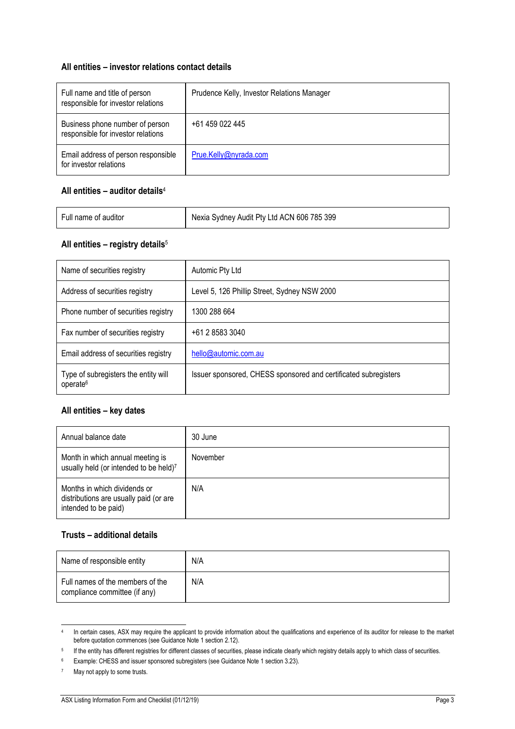#### **All entities – investor relations contact details**

| Full name and title of person<br>responsible for investor relations   | Prudence Kelly, Investor Relations Manager |
|-----------------------------------------------------------------------|--------------------------------------------|
| Business phone number of person<br>responsible for investor relations | +61 459 022 445                            |
| Email address of person responsible<br>for investor relations         | Prue.Kelly@nyrada.com                      |

#### **All entities – auditor details**<sup>4</sup>

| Full name of auditor | Nexia Sydney Audit Pty Ltd ACN 606 785 399 |
|----------------------|--------------------------------------------|
|                      |                                            |

#### **All entities – registry details**<sup>5</sup>

| Name of securities registry                                  | Automic Pty Ltd                                                 |
|--------------------------------------------------------------|-----------------------------------------------------------------|
| Address of securities registry                               | Level 5, 126 Phillip Street, Sydney NSW 2000                    |
| Phone number of securities registry                          | 1300 288 664                                                    |
| Fax number of securities registry                            | +61 2 8583 3040                                                 |
| Email address of securities registry                         | hello@automic.com.au                                            |
| Type of subregisters the entity will<br>operate <sup>6</sup> | Issuer sponsored, CHESS sponsored and certificated subregisters |

#### **All entities – key dates**

| Annual balance date                                                                            | 30 June  |
|------------------------------------------------------------------------------------------------|----------|
| Month in which annual meeting is<br>usually held (or intended to be held)7                     | November |
| Months in which dividends or<br>distributions are usually paid (or are<br>intended to be paid) | N/A      |

#### **Trusts – additional details**

| Name of responsible entity                                        | N/A |
|-------------------------------------------------------------------|-----|
| Full names of the members of the<br>compliance committee (if any) | N/A |

 $\overline{4}$ <sup>4</sup> In certain cases, ASX may require the applicant to provide information about the qualifications and experience of its auditor for release to the market before quotation commences (see Guidance Note 1 section 2.12).

<sup>&</sup>lt;sup>5</sup> If the entity has different registries for different classes of securities, please indicate clearly which registry details apply to which class of securities.

<sup>6</sup> Example: CHESS and issuer sponsored subregisters (see Guidance Note 1 section 3.23).

<sup>7</sup> May not apply to some trusts.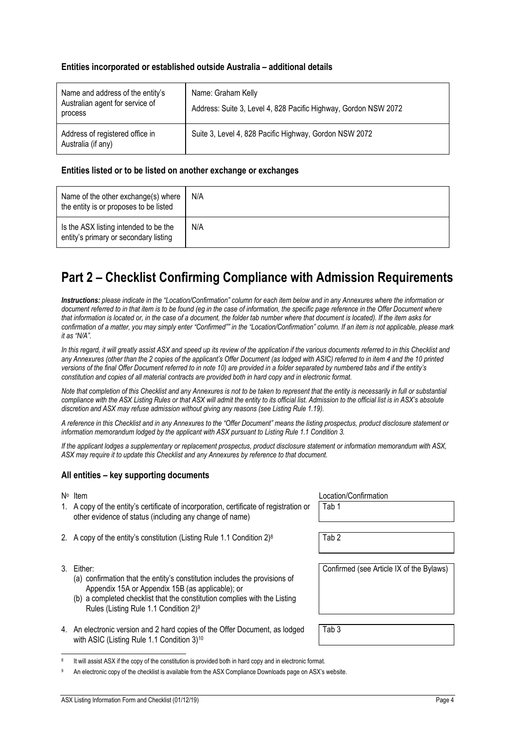#### **Entities incorporated or established outside Australia – additional details**

| Name and address of the entity's<br>Australian agent for service of<br>process | Name: Graham Kelly<br>Address: Suite 3, Level 4, 828 Pacific Highway, Gordon NSW 2072 |
|--------------------------------------------------------------------------------|---------------------------------------------------------------------------------------|
| Address of registered office in<br>Australia (if any)                          | Suite 3, Level 4, 828 Pacific Highway, Gordon NSW 2072                                |

#### **Entities listed or to be listed on another exchange or exchanges**

| Name of the other exchange(s) where<br>the entity is or proposes to be listed  | N/A |
|--------------------------------------------------------------------------------|-----|
| Is the ASX listing intended to be the<br>entity's primary or secondary listing | N/A |

### **Part 2 – Checklist Confirming Compliance with Admission Requirements**

*Instructions: please indicate in the "Location/Confirmation" column for each item below and in any Annexures where the information or*  document referred to in that item is to be found (eg in the case of information, the specific page reference in the Offer Document where *that information is located or, in the case of a document, the folder tab number where that document is located). If the item asks for confirmation of a matter, you may simply enter "Confirmed"" in the "Location/Confirmation" column. If an item is not applicable, please mark it as "N/A".* 

In this regard, it will greatly assist ASX and speed up its review of the application if the various documents referred to in this Checklist and *any Annexures (other than the 2 copies of the applicant's Offer Document (as lodged with ASIC) referred to in item 4 and the 10 printed versions of the final Offer Document referred to in note 10) are provided in a folder separated by numbered tabs and if the entity's constitution and copies of all material contracts are provided both in hard copy and in electronic format.* 

*Note that completion of this Checklist and any Annexures is not to be taken to represent that the entity is necessarily in full or substantial compliance with the ASX Listing Rules or that ASX will admit the entity to its official list. Admission to the official list is in ASX's absolute discretion and ASX may refuse admission without giving any reasons (see Listing Rule 1.19).* 

*A reference in this Checklist and in any Annexures to the "Offer Document" means the listing prospectus, product disclosure statement or information memorandum lodged by the applicant with ASX pursuant to Listing Rule 1.1 Condition 3.* 

*If the applicant lodges a supplementary or replacement prospectus, product disclosure statement or information memorandum with ASX, ASX may require it to update this Checklist and any Annexures by reference to that document.* 

#### **All entities – key supporting documents**

- 1. A copy of the entity's certificate of incorporation, certificate of registration or other evidence of status (including any change of name)
- 2. A copy of the entity's constitution (Listing Rule 1.1 Condition  $2)^8$  Tab 2
- 3. Either:

1

- (a) confirmation that the entity's constitution includes the provisions of Appendix 15A or Appendix 15B (as applicable); or
- (b) a completed checklist that the constitution complies with the Listing Rules (Listing Rule 1.1 Condition 2)9
- 4. An electronic version and 2 hard copies of the Offer Document, as lodged with ASIC (Listing Rule 1.1 Condition 3)<sup>10</sup>

N∘ Item Location/Confirmation Tab 1

Confirmed (see Article IX of the Bylaws)

Tab 3

It will assist ASX if the copy of the constitution is provided both in hard copy and in electronic format.

An electronic copy of the checklist is available from the ASX Compliance Downloads page on ASX's website.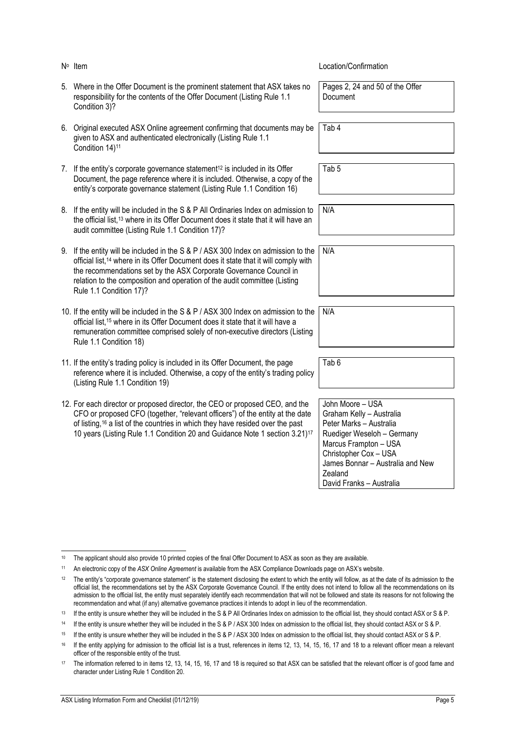| N° Item                                                                                                                                                                                                                                                                                                                                                             | Location/Confirmation                                                                                                                                                                                                              |
|---------------------------------------------------------------------------------------------------------------------------------------------------------------------------------------------------------------------------------------------------------------------------------------------------------------------------------------------------------------------|------------------------------------------------------------------------------------------------------------------------------------------------------------------------------------------------------------------------------------|
| 5. Where in the Offer Document is the prominent statement that ASX takes no<br>responsibility for the contents of the Offer Document (Listing Rule 1.1<br>Condition 3)?                                                                                                                                                                                             | Pages 2, 24 and 50 of the Offer<br>Document                                                                                                                                                                                        |
| 6. Original executed ASX Online agreement confirming that documents may be<br>given to ASX and authenticated electronically (Listing Rule 1.1<br>Condition 14) <sup>11</sup>                                                                                                                                                                                        | Tab 4                                                                                                                                                                                                                              |
| 7. If the entity's corporate governance statement <sup>12</sup> is included in its Offer<br>Document, the page reference where it is included. Otherwise, a copy of the<br>entity's corporate governance statement (Listing Rule 1.1 Condition 16)                                                                                                                  | Tab <sub>5</sub>                                                                                                                                                                                                                   |
| 8. If the entity will be included in the S & P All Ordinaries Index on admission to<br>the official list, <sup>13</sup> where in its Offer Document does it state that it will have an<br>audit committee (Listing Rule 1.1 Condition 17)?                                                                                                                          | N/A                                                                                                                                                                                                                                |
| 9. If the entity will be included in the S & P / ASX 300 Index on admission to the<br>official list, <sup>14</sup> where in its Offer Document does it state that it will comply with<br>the recommendations set by the ASX Corporate Governance Council in<br>relation to the composition and operation of the audit committee (Listing<br>Rule 1.1 Condition 17)? | N/A                                                                                                                                                                                                                                |
| 10. If the entity will be included in the S & P / ASX 300 Index on admission to the<br>official list, <sup>15</sup> where in its Offer Document does it state that it will have a<br>remuneration committee comprised solely of non-executive directors (Listing<br>Rule 1.1 Condition 18)                                                                          | N/A                                                                                                                                                                                                                                |
| 11. If the entity's trading policy is included in its Offer Document, the page<br>reference where it is included. Otherwise, a copy of the entity's trading policy<br>(Listing Rule 1.1 Condition 19)                                                                                                                                                               | Tab <sub>6</sub>                                                                                                                                                                                                                   |
| 12. For each director or proposed director, the CEO or proposed CEO, and the<br>CFO or proposed CFO (together, "relevant officers") of the entity at the date<br>of listing, <sup>16</sup> a list of the countries in which they have resided over the past<br>10 years (Listing Rule 1.1 Condition 20 and Guidance Note 1 section 3.21) <sup>17</sup>              | John Moore - USA<br>Graham Kelly - Australia<br>Peter Marks - Australia<br>Ruediger Weseloh - Germany<br>Marcus Frampton - USA<br>Christopher Cox - USA<br>James Bonnar - Australia and New<br>Zealand<br>David Franks - Australia |

 $10<sup>10</sup>$ The applicant should also provide 10 printed copies of the final Offer Document to ASX as soon as they are available.

<sup>11</sup> An electronic copy of the *ASX Online Agreement* is available from the ASX Compliance Downloads page on ASX's website.

<sup>&</sup>lt;sup>12</sup> The entity's "corporate governance statement" is the statement disclosing the extent to which the entity will follow, as at the date of its admission to the official list, the recommendations set by the ASX Corporate Governance Council. If the entity does not intend to follow all the recommendations on its admission to the official list, the entity must separately identify each recommendation that will not be followed and state its reasons for not following the recommendation and what (if any) alternative governance practices it intends to adopt in lieu of the recommendation.

<sup>13</sup> If the entity is unsure whether they will be included in the S & P All Ordinaries Index on admission to the official list, they should contact ASX or S & P.

<sup>&</sup>lt;sup>14</sup> If the entity is unsure whether they will be included in the S & P / ASX 300 Index on admission to the official list, they should contact ASX or S & P.

<sup>15</sup> If the entity is unsure whether they will be included in the S & P / ASX 300 Index on admission to the official list, they should contact ASX or S & P.

<sup>&</sup>lt;sup>16</sup> If the entity applying for admission to the official list is a trust, references in items 12, 13, 14, 15, 16, 17 and 18 to a relevant officer mean a relevant officer of the responsible entity of the trust.

<sup>&</sup>lt;sup>17</sup> The information referred to in items 12, 13, 14, 15, 16, 17 and 18 is required so that ASX can be satisfied that the relevant officer is of good fame and character under Listing Rule 1 Condition 20.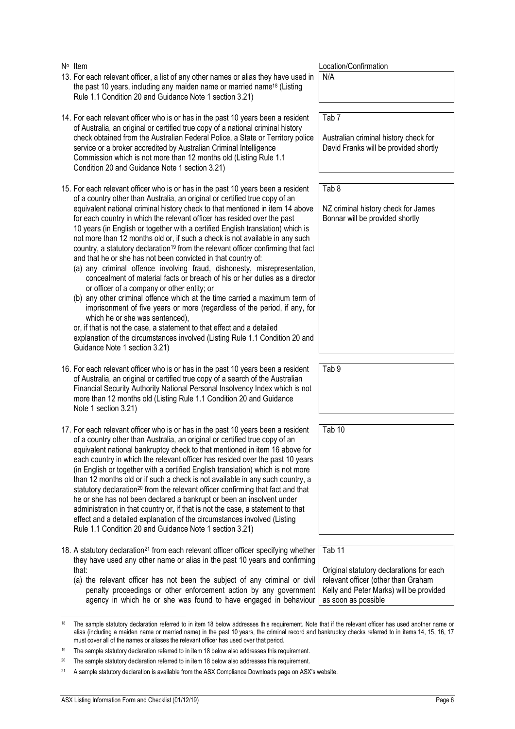|    | N° Item                                                                                                                                                                                                                                                                                                                                                                                                                                                                                                                                                                                                                                                                                                                                                                                                                                                                                                                                                                                                                                                                                                                                                                                                                                                             | Location/Confirmation                                                                                                                                                  |
|----|---------------------------------------------------------------------------------------------------------------------------------------------------------------------------------------------------------------------------------------------------------------------------------------------------------------------------------------------------------------------------------------------------------------------------------------------------------------------------------------------------------------------------------------------------------------------------------------------------------------------------------------------------------------------------------------------------------------------------------------------------------------------------------------------------------------------------------------------------------------------------------------------------------------------------------------------------------------------------------------------------------------------------------------------------------------------------------------------------------------------------------------------------------------------------------------------------------------------------------------------------------------------|------------------------------------------------------------------------------------------------------------------------------------------------------------------------|
|    | 13. For each relevant officer, a list of any other names or alias they have used in<br>the past 10 years, including any maiden name or married name <sup>18</sup> (Listing<br>Rule 1.1 Condition 20 and Guidance Note 1 section 3.21)                                                                                                                                                                                                                                                                                                                                                                                                                                                                                                                                                                                                                                                                                                                                                                                                                                                                                                                                                                                                                               | $N/\overline{A}$                                                                                                                                                       |
|    | 14. For each relevant officer who is or has in the past 10 years been a resident<br>of Australia, an original or certified true copy of a national criminal history<br>check obtained from the Australian Federal Police, a State or Territory police<br>service or a broker accredited by Australian Criminal Intelligence<br>Commission which is not more than 12 months old (Listing Rule 1.1<br>Condition 20 and Guidance Note 1 section 3.21)                                                                                                                                                                                                                                                                                                                                                                                                                                                                                                                                                                                                                                                                                                                                                                                                                  | Tab <sub>7</sub><br>Australian criminal history check for<br>David Franks will be provided shortly                                                                     |
|    | 15. For each relevant officer who is or has in the past 10 years been a resident<br>of a country other than Australia, an original or certified true copy of an<br>equivalent national criminal history check to that mentioned in item 14 above<br>for each country in which the relevant officer has resided over the past<br>10 years (in English or together with a certified English translation) which is<br>not more than 12 months old or, if such a check is not available in any such<br>country, a statutory declaration <sup>19</sup> from the relevant officer confirming that fact<br>and that he or she has not been convicted in that country of:<br>(a) any criminal offence involving fraud, dishonesty, misrepresentation,<br>concealment of material facts or breach of his or her duties as a director<br>or officer of a company or other entity; or<br>(b) any other criminal offence which at the time carried a maximum term of<br>imprisonment of five years or more (regardless of the period, if any, for<br>which he or she was sentenced),<br>or, if that is not the case, a statement to that effect and a detailed<br>explanation of the circumstances involved (Listing Rule 1.1 Condition 20 and<br>Guidance Note 1 section 3.21) | Tab <sub>8</sub><br>NZ criminal history check for James<br>Bonnar will be provided shortly                                                                             |
|    | 16. For each relevant officer who is or has in the past 10 years been a resident<br>of Australia, an original or certified true copy of a search of the Australian<br>Financial Security Authority National Personal Insolvency Index which is not<br>more than 12 months old (Listing Rule 1.1 Condition 20 and Guidance<br>Note 1 section 3.21)                                                                                                                                                                                                                                                                                                                                                                                                                                                                                                                                                                                                                                                                                                                                                                                                                                                                                                                   | Tab <sub>9</sub>                                                                                                                                                       |
|    | 17. For each relevant officer who is or has in the past 10 years been a resident<br>of a country other than Australia, an original or certified true copy of an<br>equivalent national bankruptcy check to that mentioned in item 16 above for<br>each country in which the relevant officer has resided over the past 10 years<br>(in English or together with a certified English translation) which is not more<br>than 12 months old or if such a check is not available in any such country, a<br>statutory declaration <sup>20</sup> from the relevant officer confirming that fact and that<br>he or she has not been declared a bankrupt or been an insolvent under<br>administration in that country or, if that is not the case, a statement to that<br>effect and a detailed explanation of the circumstances involved (Listing<br>Rule 1.1 Condition 20 and Guidance Note 1 section 3.21)                                                                                                                                                                                                                                                                                                                                                               | Tab <sub>10</sub>                                                                                                                                                      |
|    | 18. A statutory declaration <sup>21</sup> from each relevant officer officer specifying whether<br>they have used any other name or alias in the past 10 years and confirming<br>that:<br>(a) the relevant officer has not been the subject of any criminal or civil<br>penalty proceedings or other enforcement action by any government<br>agency in which he or she was found to have engaged in behaviour                                                                                                                                                                                                                                                                                                                                                                                                                                                                                                                                                                                                                                                                                                                                                                                                                                                       | Tab <sub>11</sub><br>Original statutory declarations for each<br>relevant officer (other than Graham<br>Kelly and Peter Marks) will be provided<br>as soon as possible |
| 18 | The sample statutory declaration referred to in item 18 below addresses this requirement. Note that if the relevant officer has used another name or                                                                                                                                                                                                                                                                                                                                                                                                                                                                                                                                                                                                                                                                                                                                                                                                                                                                                                                                                                                                                                                                                                                |                                                                                                                                                                        |

alias (including a maiden name or married name) in the past 10 years, the criminal record and bankruptcy checks referred to in items 14, 15, 16, 17 must cover all of the names or aliases the relevant officer has used over that period.

<sup>&</sup>lt;sup>19</sup> The sample statutory declaration referred to in item 18 below also addresses this requirement.

<sup>&</sup>lt;sup>20</sup> The sample statutory declaration referred to in item 18 below also addresses this requirement.

<sup>21</sup> A sample statutory declaration is available from the ASX Compliance Downloads page on ASX's website.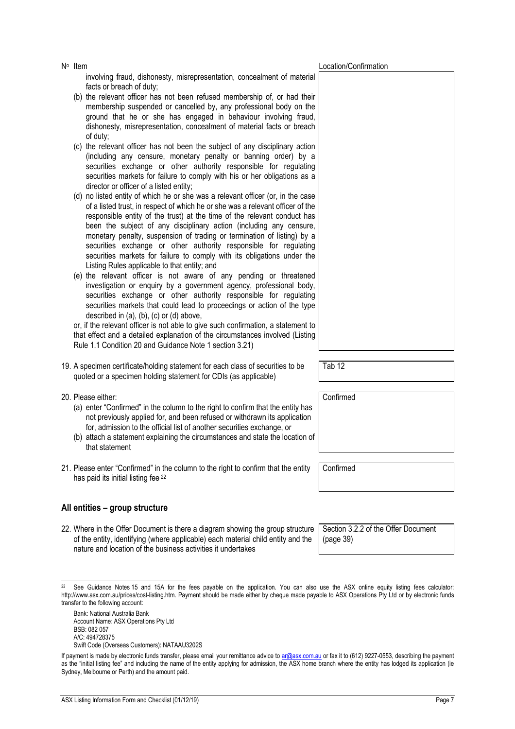involving fraud, dishonesty, misrepresentation, concealment of material facts or breach of duty; (b) the relevant officer has not been refused membership of, or had their membership suspended or cancelled by, any professional body on the

- ground that he or she has engaged in behaviour involving fraud, dishonesty, misrepresentation, concealment of material facts or breach of duty;
- (c) the relevant officer has not been the subject of any disciplinary action (including any censure, monetary penalty or banning order) by a securities exchange or other authority responsible for regulating securities markets for failure to comply with his or her obligations as a director or officer of a listed entity;
- (d) no listed entity of which he or she was a relevant officer (or, in the case of a listed trust, in respect of which he or she was a relevant officer of the responsible entity of the trust) at the time of the relevant conduct has been the subject of any disciplinary action (including any censure, monetary penalty, suspension of trading or termination of listing) by a securities exchange or other authority responsible for regulating securities markets for failure to comply with its obligations under the Listing Rules applicable to that entity; and
- (e) the relevant officer is not aware of any pending or threatened investigation or enquiry by a government agency, professional body, securities exchange or other authority responsible for regulating securities markets that could lead to proceedings or action of the type described in (a), (b), (c) or (d) above,

or, if the relevant officer is not able to give such confirmation, a statement to that effect and a detailed explanation of the circumstances involved (Listing Rule 1.1 Condition 20 and Guidance Note 1 section 3.21)

- 19. A specimen certificate/holding statement for each class of securities to be quoted or a specimen holding statement for CDIs (as applicable)
- 20. Please either:

j

- (a) enter "Confirmed" in the column to the right to confirm that the entity has not previously applied for, and been refused or withdrawn its application for, admission to the official list of another securities exchange, or
- (b) attach a statement explaining the circumstances and state the location of that statement
- 21. Please enter "Confirmed" in the column to the right to confirm that the entity has paid its initial listing fee 22

### **All entities – group structure**

22. Where in the Offer Document is there a diagram showing the group structure of the entity, identifying (where applicable) each material child entity and the nature and location of the business activities it undertakes

Bank: National Australia Bank Account Name: ASX Operations Pty Ltd BSB: 082 057 A/C: 494728375 Swift Code (Overseas Customers): NATAAU3202S Tab 12

Confirmed

Confirmed

Section 3.2.2 of the Offer Document (page 39)

No Item  $\mathbb{N}^{\circ}$  Location/Confirmation

<sup>&</sup>lt;sup>22</sup> See Guidance Notes 15 and 15A for the fees payable on the application. You can also use the ASX online equity listing fees calculator: http://www.asx.com.au/prices/cost-listing.htm. Payment should be made either by cheque made payable to ASX Operations Pty Ltd or by electronic funds transfer to the following account:

If payment is made by electronic funds transfer, please email your remittance advice to ar@asx.com.au or fax it to (612) 9227-0553, describing the payment as the "initial listing fee" and including the name of the entity applying for admission, the ASX home branch where the entity has lodged its application (ie Sydney, Melbourne or Perth) and the amount paid.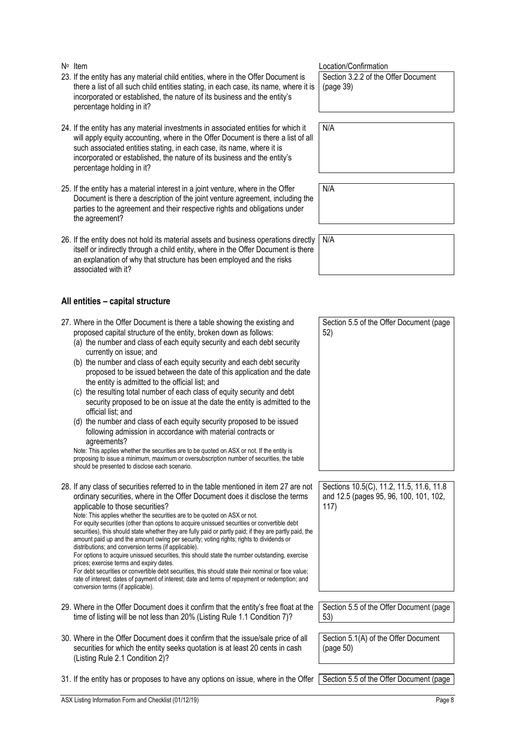- 23. If the entity has any material child entities, where in the Offer Document is there a list of all such child entities stating, in each case, its name, where it is incorporated or established, the nature of its business and the entity's percentage holding in it?
- 24. If the entity has any material investments in associated entities for which it will apply equity accounting, where in the Offer Document is there a list of all such associated entities stating, in each case, its name, where it is incorporated or established, the nature of its business and the entity's percentage holding in it?
- 25. If the entity has a material interest in a joint venture, where in the Offer Document is there a description of the joint venture agreement, including the parties to the agreement and their respective rights and obligations under the agreement?
- 26. If the entity does not hold its material assets and business operations direct itself or indirectly through a child entity, where in the Offer Document is there an explanation of why that structure has been employed and the risks associated with it?

#### **All entities – capital structure**

- 27. Where in the Offer Document is there a table showing the existing and proposed capital structure of the entity, broken down as follows: (a) the number and class of each equity security and each debt security currently on issue; and (b) the number and class of each equity security and each debt security proposed to be issued between the date of this application and the date the entity is admitted to the official list; and Section 5.5 of the Offer Document (page 52)
	- (c) the resulting total number of each class of equity security and debt security proposed to be on issue at the date the entity is admitted to the official list; and
	- (d) the number and class of each equity security proposed to be issued following admission in accordance with material contracts or agreements?

Note: This applies whether the securities are to be quoted on ASX or not. If the entity is proposing to issue a minimum, maximum or oversubscription number of securities, the table should be presented to disclose each scenario.

28. If any class of securities referred to in the table mentioned in item 27 are not ordinary securities, where in the Offer Document does it disclose the terms applicable to those securities? Note: This applies whether the securities are to be quoted on ASX or not.

For equity securities (other than options to acquire unissued securities or convertible debt securities), this should state whether they are fully paid or partly paid; if they are partly paid, the amount paid up and the amount owing per security; voting rights; rights to dividends or distributions; and conversion terms (if applicable).

For options to acquire unissued securities, this should state the number outstanding, exercise prices; exercise terms and expiry dates.

For debt securities or convertible debt securities, this should state their nominal or face value; rate of interest; dates of payment of interest; date and terms of repayment or redemption; and conversion terms (if applicable).

- 29. Where in the Offer Document does it confirm that the entity's free float at the time of listing will be not less than 20% (Listing Rule 1.1 Condition 7)? Section 5.5 of the Offer Document (page
- 30. Where in the Offer Document does it confirm that the issue/sale price of all securities for which the entity seeks quotation is at least 20 cents in cash (Listing Rule 2.1 Condition 2)?

31. If the entity has or proposes to have any options on issue, where in the Offer Section 5.5 of the Offer Document (page

No Item  $\mathbb{N}^{\circ}$  Confirmation  $\mathbb{N}^{\circ}$  Location/Confirmation Section 3.2.2 of the Offer Document (page 39)

N/A

N/A

| :ly | N/A |  |  |  |  |
|-----|-----|--|--|--|--|
| е   |     |  |  |  |  |
|     |     |  |  |  |  |

Sections 10.5(C), 11.2, 11.5, 11.6, 11.8 and 12.5 (pages 95, 96, 100, 101, 102, 117)

53)

Section 5.1(A) of the Offer Document (page 50)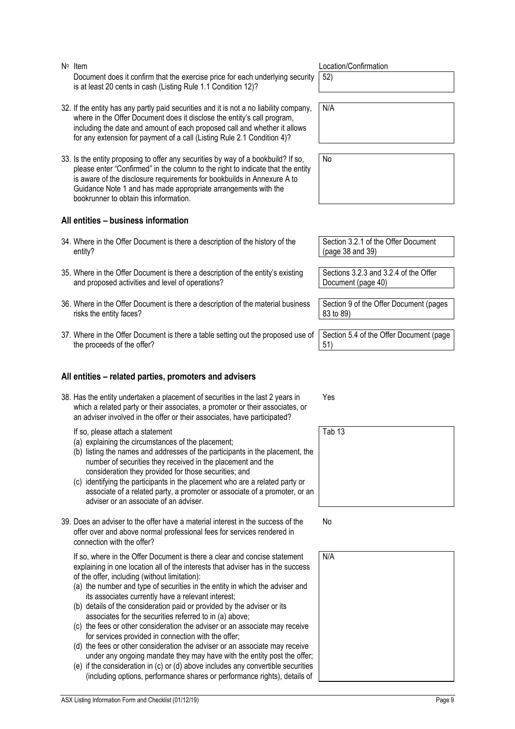No Item  $\mathbb{N}^{\circ}$  Location/Confirmation Document does it confirm that the exercise price for each underlying security is at least 20 cents in cash (Listing Rule 1.1 Condition 12)?

- 32. If the entity has any partly paid securities and it is not a no liability company, where in the Offer Document does it disclose the entity's call program, including the date and amount of each proposed call and whether it allows for any extension for payment of a call (Listing Rule 2.1 Condition 4)?
- 33. Is the entity proposing to offer any securities by way of a bookbuild? If so, please enter "Confirmed" in the column to the right to indicate that the entity is aware of the disclosure requirements for bookbuilds in Annexure A to Guidance Note 1 and has made appropriate arrangements with the bookrunner to obtain this information.

#### **All entities – business information**

- 34. Where in the Offer Document is there a description of the history of the entity?
- 35. Where in the Offer Document is there a description of the entity's existing and proposed activities and level of operations?
- 36. Where in the Offer Document is there a description of the material business risks the entity faces?
- 37. Where in the Offer Document is there a table setting out the proposed use of the proceeds of the offer?

#### **All entities – related parties, promoters and advisers**

38. Has the entity undertaken a placement of securities in the last 2 years in which a related party or their associates, a promoter or their associates, or an adviser involved in the offer or their associates, have participated?

If so, please attach a statement

- (a) explaining the circumstances of the placement;
- (b) listing the names and addresses of the participants in the placement, the number of securities they received in the placement and the consideration they provided for those securities; and
- (c) identifying the participants in the placement who are a related party or associate of a related party, a promoter or associate of a promoter, or an adviser or an associate of an adviser.
- 39. Does an adviser to the offer have a material interest in the success of the offer over and above normal professional fees for services rendered in connection with the offer?

 If so, where in the Offer Document is there a clear and concise statement explaining in one location all of the interests that adviser has in the success of the offer, including (without limitation):

- (a) the number and type of securities in the entity in which the adviser and its associates currently have a relevant interest;
- (b) details of the consideration paid or provided by the adviser or its associates for the securities referred to in (a) above;
- (c) the fees or other consideration the adviser or an associate may receive for services provided in connection with the offer;
- (d) the fees or other consideration the adviser or an associate may receive under any ongoing mandate they may have with the entity post the offer;
- (e) if the consideration in (c) or (d) above includes any convertible securities (including options, performance shares or performance rights), details of

52)

N/A

No

Section 3.2.1 of the Offer Document (page 38 and 39)

Sections 3.2.3 and 3.2.4 of the Offer Document (page 40)

Section 9 of the Offer Document (pages 83 to 89)

Section 5.4 of the Offer Document (page 51)

Yes



No

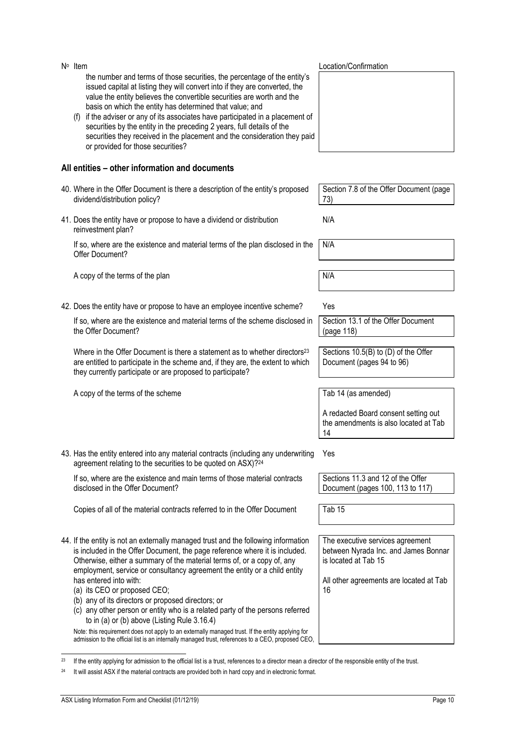| N° Item                                                                                                                                                                                                                                                                                                                                                                                                                                                                                                                                                                                                                                                                                                                                                                                | Location/Confirmation                                                                                                                             |
|----------------------------------------------------------------------------------------------------------------------------------------------------------------------------------------------------------------------------------------------------------------------------------------------------------------------------------------------------------------------------------------------------------------------------------------------------------------------------------------------------------------------------------------------------------------------------------------------------------------------------------------------------------------------------------------------------------------------------------------------------------------------------------------|---------------------------------------------------------------------------------------------------------------------------------------------------|
| the number and terms of those securities, the percentage of the entity's<br>issued capital at listing they will convert into if they are converted, the<br>value the entity believes the convertible securities are worth and the<br>basis on which the entity has determined that value; and<br>if the adviser or any of its associates have participated in a placement of<br>(f)<br>securities by the entity in the preceding 2 years, full details of the<br>securities they received in the placement and the consideration they paid<br>or provided for those securities?                                                                                                                                                                                                        |                                                                                                                                                   |
| All entities – other information and documents                                                                                                                                                                                                                                                                                                                                                                                                                                                                                                                                                                                                                                                                                                                                         |                                                                                                                                                   |
| 40. Where in the Offer Document is there a description of the entity's proposed<br>dividend/distribution policy?                                                                                                                                                                                                                                                                                                                                                                                                                                                                                                                                                                                                                                                                       | Section 7.8 of the Offer Document (page<br>73)                                                                                                    |
| 41. Does the entity have or propose to have a dividend or distribution<br>reinvestment plan?                                                                                                                                                                                                                                                                                                                                                                                                                                                                                                                                                                                                                                                                                           | N/A                                                                                                                                               |
| If so, where are the existence and material terms of the plan disclosed in the<br>Offer Document?                                                                                                                                                                                                                                                                                                                                                                                                                                                                                                                                                                                                                                                                                      | N/A                                                                                                                                               |
| A copy of the terms of the plan                                                                                                                                                                                                                                                                                                                                                                                                                                                                                                                                                                                                                                                                                                                                                        | N/A                                                                                                                                               |
| 42. Does the entity have or propose to have an employee incentive scheme?                                                                                                                                                                                                                                                                                                                                                                                                                                                                                                                                                                                                                                                                                                              | Yes                                                                                                                                               |
| If so, where are the existence and material terms of the scheme disclosed in<br>the Offer Document?                                                                                                                                                                                                                                                                                                                                                                                                                                                                                                                                                                                                                                                                                    | Section 13.1 of the Offer Document<br>(page 118)                                                                                                  |
| Where in the Offer Document is there a statement as to whether directors <sup>23</sup><br>are entitled to participate in the scheme and, if they are, the extent to which<br>they currently participate or are proposed to participate?                                                                                                                                                                                                                                                                                                                                                                                                                                                                                                                                                | Sections 10.5(B) to (D) of the Offer<br>Document (pages 94 to 96)                                                                                 |
| A copy of the terms of the scheme                                                                                                                                                                                                                                                                                                                                                                                                                                                                                                                                                                                                                                                                                                                                                      | Tab 14 (as amended)                                                                                                                               |
|                                                                                                                                                                                                                                                                                                                                                                                                                                                                                                                                                                                                                                                                                                                                                                                        | A redacted Board consent setting out<br>the amendments is also located at Tab<br>14                                                               |
| 43. Has the entity entered into any material contracts (including any underwriting<br>agreement relating to the securities to be quoted on ASX)?24                                                                                                                                                                                                                                                                                                                                                                                                                                                                                                                                                                                                                                     | Yes                                                                                                                                               |
| If so, where are the existence and main terms of those material contracts<br>disclosed in the Offer Document?                                                                                                                                                                                                                                                                                                                                                                                                                                                                                                                                                                                                                                                                          | Sections 11.3 and 12 of the Offer<br>Document (pages 100, 113 to 117)                                                                             |
| Copies of all of the material contracts referred to in the Offer Document                                                                                                                                                                                                                                                                                                                                                                                                                                                                                                                                                                                                                                                                                                              | Tab 15                                                                                                                                            |
| 44. If the entity is not an externally managed trust and the following information<br>is included in the Offer Document, the page reference where it is included.<br>Otherwise, either a summary of the material terms of, or a copy of, any<br>employment, service or consultancy agreement the entity or a child entity<br>has entered into with:<br>(a) its CEO or proposed CEO;<br>(b) any of its directors or proposed directors; or<br>(c) any other person or entity who is a related party of the persons referred<br>to in (a) or (b) above (Listing Rule $3.16.4$ )<br>Note: this requirement does not apply to an externally managed trust. If the entity applying for<br>admission to the official list is an internally managed trust, references to a CEO, proposed CEO, | The executive services agreement<br>between Nyrada Inc. and James Bonnar<br>is located at Tab 15<br>All other agreements are located at Tab<br>16 |

<sup>1</sup>  $^{23}$  If the entity applying for admission to the official list is a trust, references to a director mean a director of the responsible entity of the trust.

<sup>&</sup>lt;sup>24</sup> It will assist ASX if the material contracts are provided both in hard copy and in electronic format.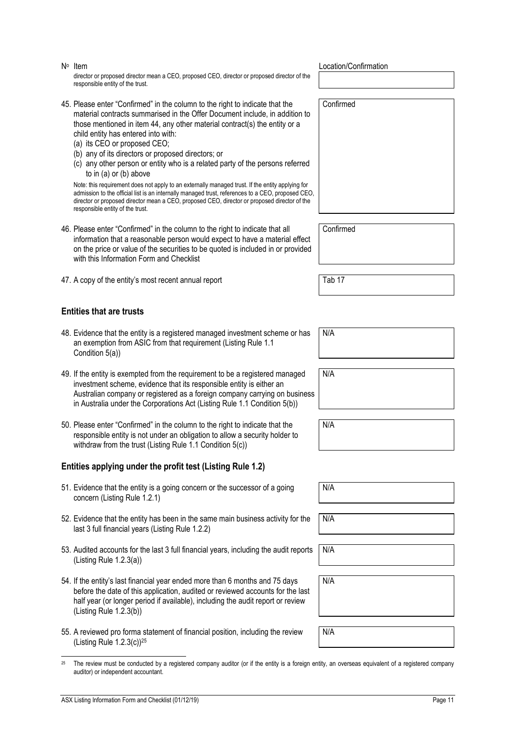No Item  $\mathbb{N}^{\circ}$  Location/Confirmation director or proposed director mean a CEO, proposed CEO, director or proposed director of the responsible entity of the trust.

- 45. Please enter "Confirmed" in the column to the right to indicate that the material contracts summarised in the Offer Document include, in addition to those mentioned in item 44, any other material contract(s) the entity or a child entity has entered into with:
	- (a) its CEO or proposed CEO;
	- (b) any of its directors or proposed directors; or
	- (c) any other person or entity who is a related party of the persons referred to in (a) or (b) above

Note: this requirement does not apply to an externally managed trust. If the entity applying for admission to the official list is an internally managed trust, references to a CEO, proposed CEO, director or proposed director mean a CEO, proposed CEO, director or proposed director of the responsible entity of the trust.

- 46. Please enter "Confirmed" in the column to the right to indicate that all information that a reasonable person would expect to have a material effect on the price or value of the securities to be quoted is included in or provided with this Information Form and Checklist
- 47. A copy of the entity's most recent annual report Tab 17

#### **Entities that are trusts**

- 48. Evidence that the entity is a registered managed investment scheme or has an exemption from ASIC from that requirement (Listing Rule 1.1 Condition 5(a))
- 49. If the entity is exempted from the requirement to be a registered managed investment scheme, evidence that its responsible entity is either an Australian company or registered as a foreign company carrying on business in Australia under the Corporations Act (Listing Rule 1.1 Condition 5(b))
- 50. Please enter "Confirmed" in the column to the right to indicate that the responsible entity is not under an obligation to allow a security holder to withdraw from the trust (Listing Rule 1.1 Condition 5(c))

#### **Entities applying under the profit test (Listing Rule 1.2)**

- 51. Evidence that the entity is a going concern or the successor of a going concern (Listing Rule 1.2.1)
- 52. Evidence that the entity has been in the same main business activity for the last 3 full financial years (Listing Rule 1.2.2)
- 53. Audited accounts for the last 3 full financial years, including the audit reports (Listing Rule 1.2.3(a))
- 54. If the entity's last financial year ended more than 6 months and 75 days before the date of this application, audited or reviewed accounts for the last half year (or longer period if available), including the audit report or review (Listing Rule 1.2.3(b))
- 55. A reviewed pro forma statement of financial position, including the review (Listing Rule 1.2.3(c))25

Confirmed

Confirmed

N/A

N/A

N/A

N/A

N/A

N/A

N/A

N/A

<sup>1</sup> <sup>25</sup> The review must be conducted by a registered company auditor (or if the entity is a foreign entity, an overseas equivalent of a registered company auditor) or independent accountant.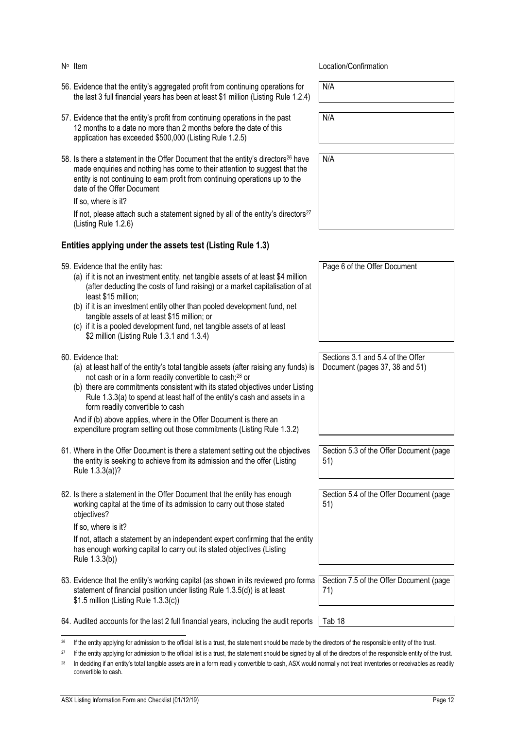- 56. Evidence that the entity's aggregated profit from continuing operations for the last 3 full financial years has been at least \$1 million (Listing Rule 1.2.4)
- 57. Evidence that the entity's profit from continuing operations in the past 12 months to a date no more than 2 months before the date of this application has exceeded \$500,000 (Listing Rule 1.2.5)
- 58. Is there a statement in the Offer Document that the entity's directors<sup>26</sup> have made enquiries and nothing has come to their attention to suggest that the entity is not continuing to earn profit from continuing operations up to the date of the Offer Document

If so, where is it?

If not, please attach such a statement signed by all of the entity's directors $27$ (Listing Rule 1.2.6)

#### **Entities applying under the assets test (Listing Rule 1.3)**

| 59. Evidence that the entity has: |  |  |  |  |  |
|-----------------------------------|--|--|--|--|--|
|-----------------------------------|--|--|--|--|--|

- (a) if it is not an investment entity, net tangible assets of at least \$4 million (after deducting the costs of fund raising) or a market capitalisation of at least \$15 million;
- (b) if it is an investment entity other than pooled development fund, net tangible assets of at least \$15 million; or
- (c) if it is a pooled development fund, net tangible assets of at least \$2 million (Listing Rule 1.3.1 and 1.3.4)
- 60. Evidence that:
	- (a) at least half of the entity's total tangible assets (after raising any funds) is not cash or in a form readily convertible to cash;28 or
	- (b) there are commitments consistent with its stated objectives under Listing Rule 1.3.3(a) to spend at least half of the entity's cash and assets in a form readily convertible to cash

And if (b) above applies, where in the Offer Document is there an expenditure program setting out those commitments (Listing Rule 1.3.2)

- 61. Where in the Offer Document is there a statement setting out the objectives the entity is seeking to achieve from its admission and the offer (Listing Rule 1.3.3(a))?
- 62. Is there a statement in the Offer Document that the entity has enough working capital at the time of its admission to carry out those stated objectives?

If so, where is it?

If not, attach a statement by an independent expert confirming that the entity has enough working capital to carry out its stated objectives (Listing Rule 1.3.3(b))

- 63. Evidence that the entity's working capital (as shown in its reviewed pro forma statement of financial position under listing Rule 1.3.5(d)) is at least \$1.5 million (Listing Rule 1.3.3(c))
- 64. Audited accounts for the last 2 full financial years, including the audit reports Tab 18

#### 1  $^{26}$  If the entity applying for admission to the official list is a trust, the statement should be made by the directors of the responsible entity of the trust.

<sup>27</sup> If the entity applying for admission to the official list is a trust, the statement should be signed by all of the directors of the responsible entity of the trust.

#### No Item Location/Confirmation

N/A

N/A

N/A

Document (pages 37, 38 and 51)

Sections 3.1 and 5.4 of the Offer

Page 6 of the Offer Document

Section 5.3 of the Offer Document (page 51)

Section 5.4 of the Offer Document (page 51)

Section 7.5 of the Offer Document (page 71)

<sup>&</sup>lt;sup>28</sup> In deciding if an entity's total tangible assets are in a form readily convertible to cash, ASX would normally not treat inventories or receivables as readily convertible to cash.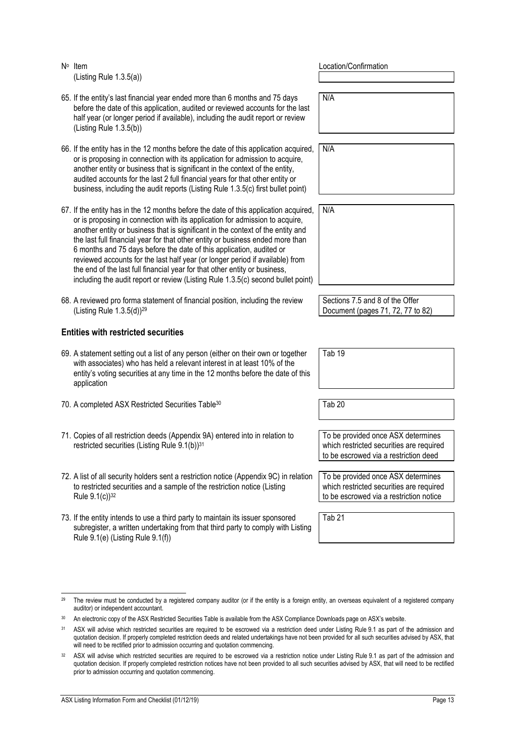No Item **No Item** Location/Confirmation (Listing Rule 1.3.5(a)) 65. If the entity's last financial year ended more than 6 months and 75 days before the date of this application, audited or reviewed accounts for the last half year (or longer period if available), including the audit report or review (Listing Rule 1.3.5(b)) N/A 66. If the entity has in the 12 months before the date of this application acquired, or is proposing in connection with its application for admission to acquire, another entity or business that is significant in the context of the entity, audited accounts for the last 2 full financial years for that other entity or business, including the audit reports (Listing Rule 1.3.5(c) first bullet point) N/A 67. If the entity has in the 12 months before the date of this application acquired, or is proposing in connection with its application for admission to acquire, another entity or business that is significant in the context of the entity and the last full financial year for that other entity or business ended more than 6 months and 75 days before the date of this application, audited or reviewed accounts for the last half year (or longer period if available) from the end of the last full financial year for that other entity or business, including the audit report or review (Listing Rule 1.3.5(c) second bullet point) N/A 68. A reviewed pro forma statement of financial position, including the review (Listing Rule 1.3.5(d))29 Sections 7.5 and 8 of the Offer Document (pages 71, 72, 77 to 82) **Entities with restricted securities**  69. A statement setting out a list of any person (either on their own or together with associates) who has held a relevant interest in at least 10% of the entity's voting securities at any time in the 12 months before the date of this application Tab 19 70. A completed ASX Restricted Securities Table<sup>30</sup> Tab 20 71. Copies of all restriction deeds (Appendix 9A) entered into in relation to restricted securities (Listing Rule 9.1(b))<sup>31</sup> To be provided once ASX determines which restricted securities are required to be escrowed via a restriction deed 72. A list of all security holders sent a restriction notice (Appendix 9C) in relation to restricted securities and a sample of the restriction notice (Listing Rule 9.1(c))32 To be provided once ASX determines which restricted securities are required to be escrowed via a restriction notice 73. If the entity intends to use a third party to maintain its issuer sponsored subregister, a written undertaking from that third party to comply with Listing Rule 9.1(e) (Listing Rule 9.1(f)) Tab 21

j

<sup>&</sup>lt;sup>29</sup> The review must be conducted by a registered company auditor (or if the entity is a foreign entity, an overseas equivalent of a registered company auditor) or independent accountant.

<sup>30</sup> An electronic copy of the ASX Restricted Securities Table is available from the ASX Compliance Downloads page on ASX's website.

<sup>&</sup>lt;sup>31</sup> ASX will advise which restricted securities are required to be escrowed via a restriction deed under Listing Rule 9.1 as part of the admission and quotation decision. If properly completed restriction deeds and related undertakings have not been provided for all such securities advised by ASX, that will need to be rectified prior to admission occurring and quotation commencing.

<sup>32</sup> ASX will advise which restricted securities are required to be escrowed via a restriction notice under Listing Rule 9.1 as part of the admission and quotation decision. If properly completed restriction notices have not been provided to all such securities advised by ASX, that will need to be rectified prior to admission occurring and quotation commencing.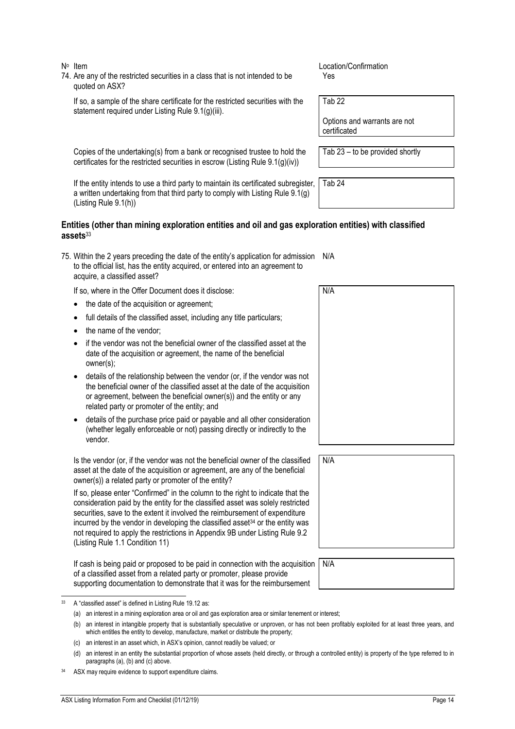1

74. Are any of the restricted securities in a class that is not intended to be quoted on ASX?

If so, a sample of the share certificate for the restricted securities with the statement required under Listing Rule 9.1(g)(iii).

Copies of the undertaking(s) from a bank or recognised trustee to hold the certificates for the restricted securities in escrow (Listing Rule 9.1(g)(iv))

No Item location/Confirmation Yes

Tab 22

Tab 24

Options and warrants are not certificated

Tab 23 – to be provided shortly

If the entity intends to use a third party to maintain its certificated subregister, a written undertaking from that third party to comply with Listing Rule 9.1(g) (Listing Rule 9.1(h))

#### **Entities (other than mining exploration entities and oil and gas exploration entities) with classified assets**<sup>33</sup>

75. Within the 2 years preceding the date of the entity's application for admission N/A to the official list, has the entity acquired, or entered into an agreement to acquire, a classified asset?

If so, where in the Offer Document does it disclose:

- the date of the acquisition or agreement;
- full details of the classified asset, including any title particulars;
- the name of the vendor:
- if the vendor was not the beneficial owner of the classified asset at the date of the acquisition or agreement, the name of the beneficial owner(s);
- details of the relationship between the vendor (or, if the vendor was not the beneficial owner of the classified asset at the date of the acquisition or agreement, between the beneficial owner(s)) and the entity or any related party or promoter of the entity; and
- details of the purchase price paid or payable and all other consideration (whether legally enforceable or not) passing directly or indirectly to the vendor.

Is the vendor (or, if the vendor was not the beneficial owner of the classified asset at the date of the acquisition or agreement, are any of the beneficial owner(s)) a related party or promoter of the entity?

If so, please enter "Confirmed" in the column to the right to indicate that the consideration paid by the entity for the classified asset was solely restricted securities, save to the extent it involved the reimbursement of expenditure incurred by the vendor in developing the classified asset $34$  or the entity was not required to apply the restrictions in Appendix 9B under Listing Rule 9.2 (Listing Rule 1.1 Condition 11)

If cash is being paid or proposed to be paid in connection with the acquisition of a classified asset from a related party or promoter, please provide supporting documentation to demonstrate that it was for the reimbursement

N/A N/A

N/A

<sup>33</sup> A "classified asset" is defined in Listing Rule 19.12 as:

<sup>(</sup>a) an interest in a mining exploration area or oil and gas exploration area or similar tenement or interest;

<sup>(</sup>b) an interest in intangible property that is substantially speculative or unproven, or has not been profitably exploited for at least three years, and which entitles the entity to develop, manufacture, market or distribute the property;

<sup>(</sup>c) an interest in an asset which, in ASX's opinion, cannot readily be valued; or

<sup>(</sup>d) an interest in an entity the substantial proportion of whose assets (held directly, or through a controlled entity) is property of the type referred to in paragraphs (a), (b) and (c) above.

<sup>34</sup> ASX may require evidence to support expenditure claims.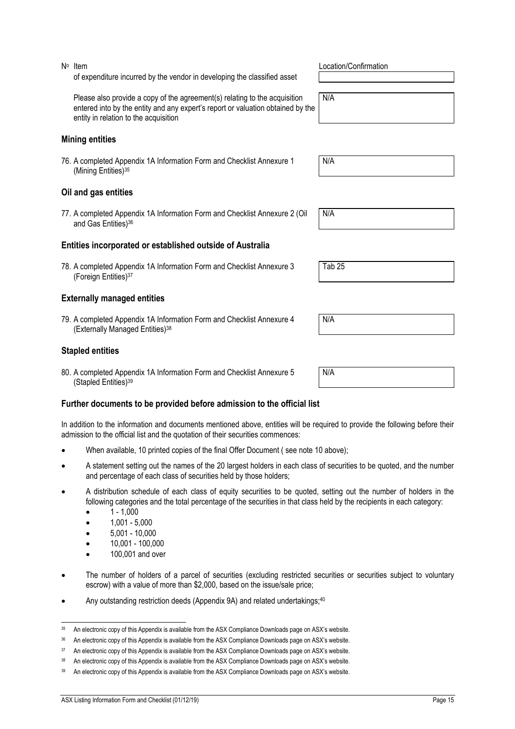## of expenditure incurred by the vendor in developing the classified asset

Please also provide a copy of the agreement(s) relating to the acquisition entered into by the entity and any expert's report or valuation obtained by the entity in relation to the acquisition

#### **Mining entities**

76. A completed Appendix 1A Information Form and Checklist Annexure 1 (Mining Entities)<sup>35</sup>

#### **Oil and gas entities**

77. A completed Appendix 1A Information Form and Checklist Annexure 2 (Oil and Gas Entities)<sup>36</sup>

#### **Entities incorporated or established outside of Australia**

78. A completed Appendix 1A Information Form and Checklist Annexure 3 (Foreign Entities)37

#### **Externally managed entities**

79. A completed Appendix 1A Information Form and Checklist Annexure 4 (Externally Managed Entities)38

#### **Stapled entities**

80. A completed Appendix 1A Information Form and Checklist Annexure 5 (Stapled Entities)39

#### **Further documents to be provided before admission to the official list**

In addition to the information and documents mentioned above, entities will be required to provide the following before their admission to the official list and the quotation of their securities commences:

- When available, 10 printed copies of the final Offer Document (see note 10 above);
- A statement setting out the names of the 20 largest holders in each class of securities to be quoted, and the number and percentage of each class of securities held by those holders;
- A distribution schedule of each class of equity securities to be quoted, setting out the number of holders in the following categories and the total percentage of the securities in that class held by the recipients in each category:
	- $1 1.000$

j

- 1,001 5,000
- $5,001 10,000$
- 10,001 100,000
- 100,001 and over
- The number of holders of a parcel of securities (excluding restricted securities or securities subject to voluntary escrow) with a value of more than \$2,000, based on the issue/sale price;
- Any outstanding restriction deeds (Appendix 9A) and related undertakings;<sup>40</sup>

No Item **No Item** Location/Confirmation

N/A

N/A

N/A

Tab 25

N/A

N/A

<sup>35</sup> An electronic copy of this Appendix is available from the ASX Compliance Downloads page on ASX's website.

<sup>36</sup> An electronic copy of this Appendix is available from the ASX Compliance Downloads page on ASX's website.

<sup>37</sup> An electronic copy of this Appendix is available from the ASX Compliance Downloads page on ASX's website.

<sup>&</sup>lt;sup>38</sup> An electronic copy of this Appendix is available from the ASX Compliance Downloads page on ASX's website.

<sup>39</sup> An electronic copy of this Appendix is available from the ASX Compliance Downloads page on ASX's website.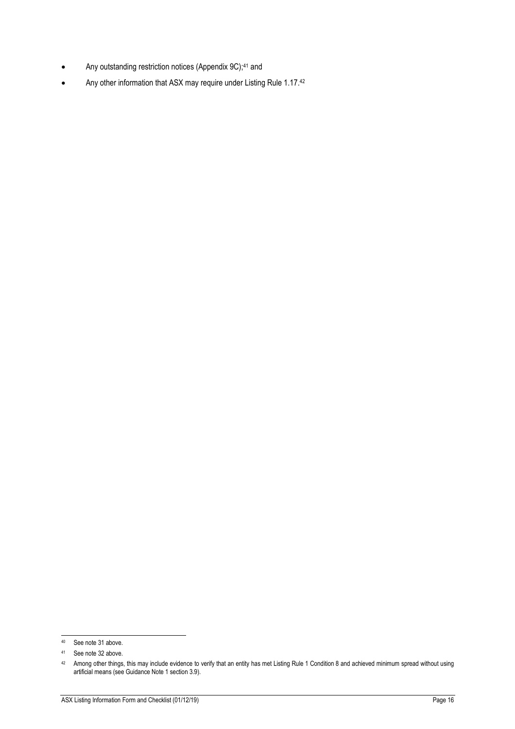- Any outstanding restriction notices (Appendix 9C);<sup>41</sup> and
- Any other information that ASX may require under Listing Rule 1.17.42

<sup>1</sup> 40 See note 31 above.

<sup>41</sup> See note 32 above.

 $42$  Among other things, this may include evidence to verify that an entity has met Listing Rule 1 Condition 8 and achieved minimum spread without using artificial means (see Guidance Note 1 section 3.9).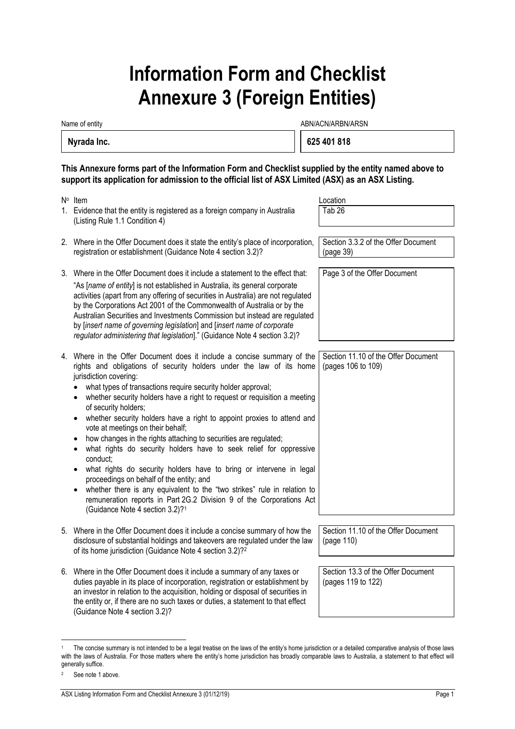# **Information Form and Checklist Annexure 3 (Foreign Entities)**

Name of entity and the state of entity and the state of entity and the state of entity and the state of entity  $ABN/ACN/ARBN/ARSN$ 

| Nyrada Inc. |  | 625 401 818 |
|-------------|--|-------------|
|-------------|--|-------------|

**This Annexure forms part of the Information Form and Checklist supplied by the entity named above to support its application for admission to the official list of ASX Limited (ASX) as an ASX Listing.** 

| N <sup>o</sup> Item                                                                                                                                                                                                                                                                                                                                                                                                                                                                                                                                                                                                                                                                                                                                                                                                                                                                                                                | Location                                                  |
|------------------------------------------------------------------------------------------------------------------------------------------------------------------------------------------------------------------------------------------------------------------------------------------------------------------------------------------------------------------------------------------------------------------------------------------------------------------------------------------------------------------------------------------------------------------------------------------------------------------------------------------------------------------------------------------------------------------------------------------------------------------------------------------------------------------------------------------------------------------------------------------------------------------------------------|-----------------------------------------------------------|
| 1. Evidence that the entity is registered as a foreign company in Australia<br>(Listing Rule 1.1 Condition 4)                                                                                                                                                                                                                                                                                                                                                                                                                                                                                                                                                                                                                                                                                                                                                                                                                      | Tab <sub>26</sub>                                         |
| 2. Where in the Offer Document does it state the entity's place of incorporation,<br>registration or establishment (Guidance Note 4 section 3.2)?                                                                                                                                                                                                                                                                                                                                                                                                                                                                                                                                                                                                                                                                                                                                                                                  | Section 3.3.2 of the Offer Document<br>(page 39)          |
| 3. Where in the Offer Document does it include a statement to the effect that:<br>"As [name of entity] is not established in Australia, its general corporate<br>activities (apart from any offering of securities in Australia) are not regulated<br>by the Corporations Act 2001 of the Commonwealth of Australia or by the<br>Australian Securities and Investments Commission but instead are regulated<br>by [insert name of governing legislation] and [insert name of corporate<br>regulator administering that legislation]." (Guidance Note 4 section 3.2)?                                                                                                                                                                                                                                                                                                                                                               | Page 3 of the Offer Document                              |
| 4. Where in the Offer Document does it include a concise summary of the<br>rights and obligations of security holders under the law of its home<br>jurisdiction covering:<br>what types of transactions require security holder approval;<br>whether security holders have a right to request or requisition a meeting<br>of security holders;<br>whether security holders have a right to appoint proxies to attend and<br>vote at meetings on their behalf;<br>how changes in the rights attaching to securities are regulated;<br>what rights do security holders have to seek relief for oppressive<br>٠<br>conduct;<br>what rights do security holders have to bring or intervene in legal<br>proceedings on behalf of the entity; and<br>whether there is any equivalent to the "two strikes" rule in relation to<br>remuneration reports in Part 2G.2 Division 9 of the Corporations Act<br>(Guidance Note 4 section 3.2)?1 | Section 11.10 of the Offer Document<br>(pages 106 to 109) |
| 5. Where in the Offer Document does it include a concise summary of how the<br>disclosure of substantial holdings and takeovers are regulated under the law<br>of its home jurisdiction (Guidance Note 4 section 3.2)? <sup>2</sup>                                                                                                                                                                                                                                                                                                                                                                                                                                                                                                                                                                                                                                                                                                | Section 11.10 of the Offer Document<br>(page 110)         |
| 6. Where in the Offer Document does it include a summary of any taxes or<br>duties payable in its place of incorporation, registration or establishment by<br>an investor in relation to the acquisition, holding or disposal of securities in<br>the entity or, if there are no such taxes or duties, a statement to that effect                                                                                                                                                                                                                                                                                                                                                                                                                                                                                                                                                                                                  | Section 13.3 of the Offer Document<br>(pages 119 to 122)  |

(Guidance Note 4 section 3.2)?

l The concise summary is not intended to be a legal treatise on the laws of the entity's home jurisdiction or a detailed comparative analysis of those laws with the laws of Australia. For those matters where the entity's home jurisdiction has broadly comparable laws to Australia, a statement to that effect will generally suffice.

<sup>2</sup> See note 1 above.